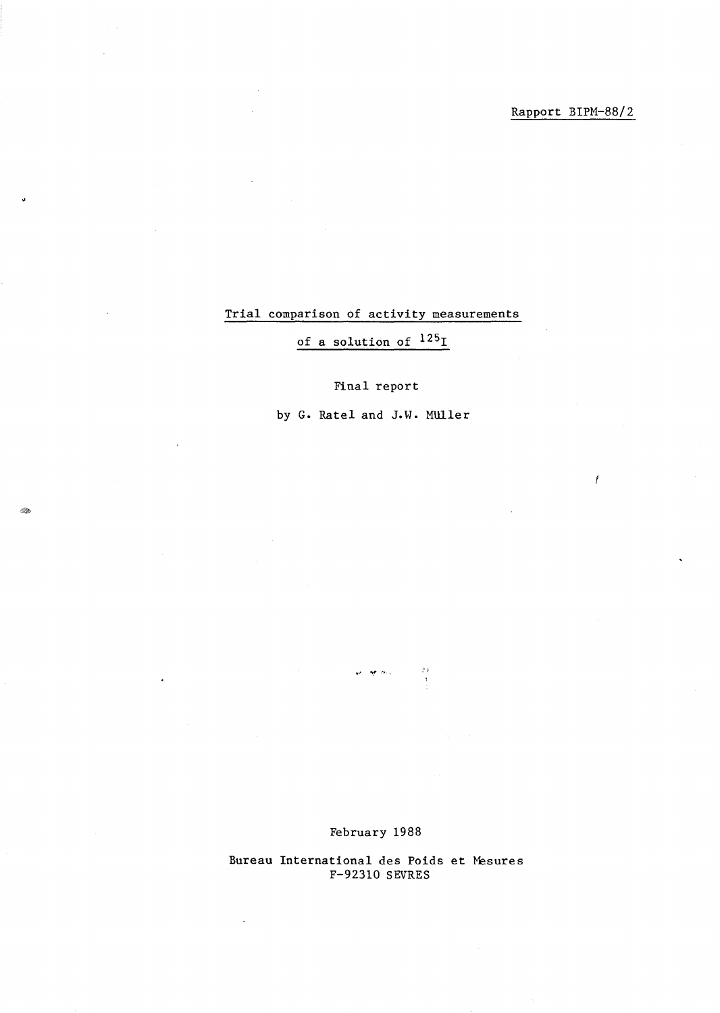Í

# Trial comparison of activity measurements

# of a solution of 125<sup>1</sup>

# Final report

by G. Ratel and J.W. Muller

 $\omega=\frac{1}{2}e^{-\lambda\omega_{\rm eff}}$ 

 $\uparrow$  )

Bureau International des Poids et Mesures F-92310 SEVRES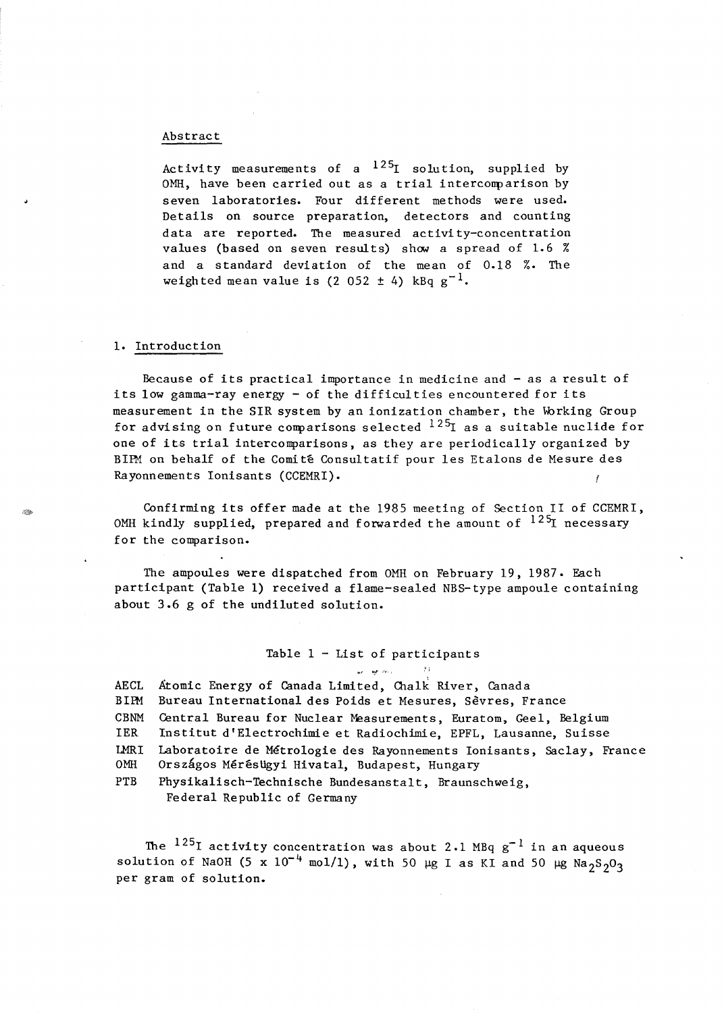#### Abstract

Activity measurements of a  $125$  solution, supplied by OMH, have been carried out as a trial intercomparison by seven laboratories. Four different methods were used. Details on source preparation, detectors and counting data are reported. The measured activi ty-concentration values (based on seven results) show a spread of 1.6  $%$ and a standard deviation of the mean of 0.18 %. The weighted mean value is  $(2 052 \pm 4)$  kBq  $g^{-1}$ .

## 1. Introduction

Because of its practical importance in medicine and - as a result of its low gamma-ray energy - of the difficul ties encountered for its measurement in the SIR system by an ionization chamber, the Working Group for advising on future comparisons selected  $^{125}$ I as a suitable nuclide for one of its trial intercomparisons, as they are periodically organized by BIPM on behalf of the Comité Consultatif pour les Etalons de Mesure des Rayonnements Ionisants (CCEMRI).

Confirming its offer made at the 1985 meeting of Section 11 of CCEMRI, OMH kindly supplied, prepared and forwarded the amount of  $^{125}$ I necessary for the comparison.

The ampoules were dispatched from OMH on February 19, 1987. Each participant (Table 1) received a flame-sealed NBS-type ampoule containing about 3.6 g of the undiluted solution.

## Table  $1 -$  List of participants أأربعه فهوارين

AECL BUM CBNM IER LMRI OMH Atomic Energy of Canada Limited, Chalk River, Canada Bureau International des Poids et Mesures, Sevres, France Central Bureau for Nuclear Measurements, Euratom, Geel, Belgium Institut d'Electrochimie et Radiochimie, EPFL, Lausanne, Suisse Laboratoire de Metrologie des Rayonnements Ionisants, Saclay, France Országos Mérésügyi Hivatal, Budapest, Hungary

 $\pm 1$ 

PTB Physikalisch-Technische Bundesanstalt, Braunschweig, Federal Republic of Germany

The  $^{125}$ I activity concentration was about 2.1 MBq g<sup>-1</sup> in an aqueous solution of NaOH (5 x 10<sup>-4</sup> mol/1), with 50 µg I as KI and 50 µg Na<sub>2</sub>S<sub>2</sub>O<sub>3</sub> per gram of solution.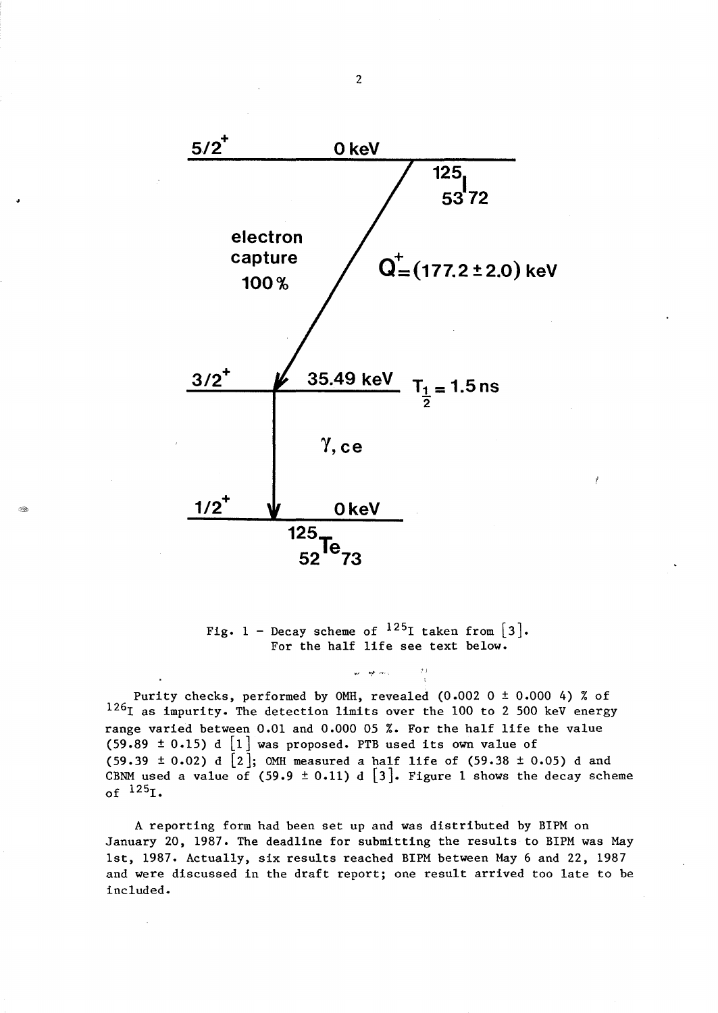

Fig. 1 - Decay scheme of  $^{125}$ I taken from [3]. For the half life see text below.

鸿

Purity checks, performed by OMH, revealed (0.002 0 ± 0.000 4) % of  $126$ I as impurity. The detection limits over the 100 to 2 500 keV energy range varied between 0.01 and 0.000 05 %. For the half life the value (59.89  $\pm$  0.15) d  $\lfloor 1 \rfloor$  was proposed. PTB used its own value of (59.39  $\pm$  0.02) d  $[2]$ ; OMH measured a half life of (59.38  $\pm$  0.05) d and CBNM used a value of (59.9  $\pm$  0.11) d [3]. Figure 1 shows the decay scheme of  $^{125}$ I.

A reporting form had been set up and was distributed by B1PM on January 20, 1987. The deadline for submitting the results to B1PM was May 1st, 1987. Actually, six results reached B1PM between May 6 and 22, 1987 and were discussed in the draft report; one result arrived too late to be included.

2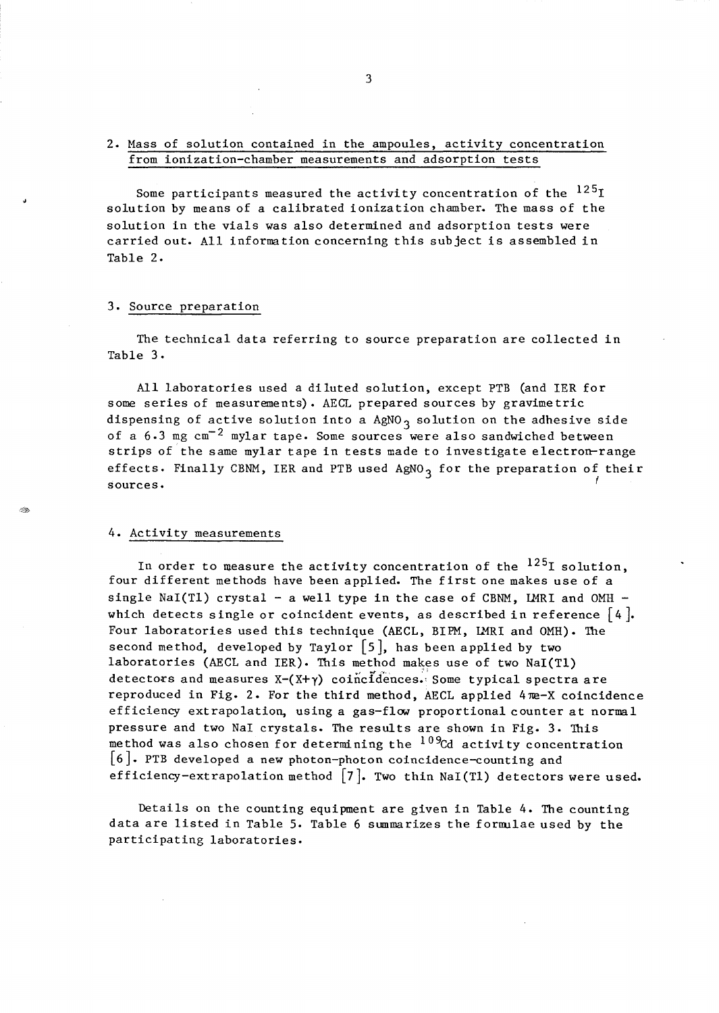## 2. Mass of solution contained in the ampoules, activity concentration from ionization-chamber measurements and adsorption tests

Some participants measured the activity concentration of the  $^{125}I$ solution by means of a calibrated ionization chamber. The mass of the solution in the vials was also determined and adsorption tests were carried out. All information concerning this subject is assembled in Table 2.

## 3. Source preparation

The technical data referring to source preparation are collected in Table 3.

All laboratories used a diluted solution, except PTB (and IER for some series of measurements). AECL prepared sources by gravime tric dispensing of active solution into a  $AgNO<sub>3</sub>$  solution on the adhesive side of a  $6.3$  mg  $cm^{-2}$  mylar tape. Some sources were also sandwiched between strips of the same mylar tape in tests made to investigate electron-range effects. Finally CBNM, IER and PTB used  $AgNO<sub>3</sub>$  for the preparation of their  $\frac{1}{2}$  sources.

## 4. Activity measurements

In order to measure the activity concentration of the  $^{125}$ I solution. four different methods have been applied. The first one makes use of a single NaI(Tl) crystal - a well type in the case of CBNM, LMRI and OMH which detects single or coincident events, as described in reference  $[4]$ . Four laboratories used this technique (AECL, BIPM, LMRI and OMH). The second method, developed by Taylor  $\lceil 5 \rceil$ , has been applied by two laboratories (AECL and IER). This method makes use of two NaI(Tl) detectors and measures  $X-(X+\gamma)$  coincidences. Some typical spectra are reproduced in Fig. 2. For the third method, AECL applied  $4 \text{ me-}X$  coincidence efficiency extrapolation, using a gas-flow proportional counter at normal pressure and two NaI crystals. The results are shown in Fig. 3. This method was also chosen for determining the  $10\%$ d activity concentration [6]. PTB developed a new photon-photon coincidence-counting and efficiency-extrapolation method  $[7]$ . Two thin NaI(T1) detectors were used.

Details on the counting equipment are given in Table 4. The counting data are listed in Table 5. Table 6 summarizes the formulae used by the participating laboratories.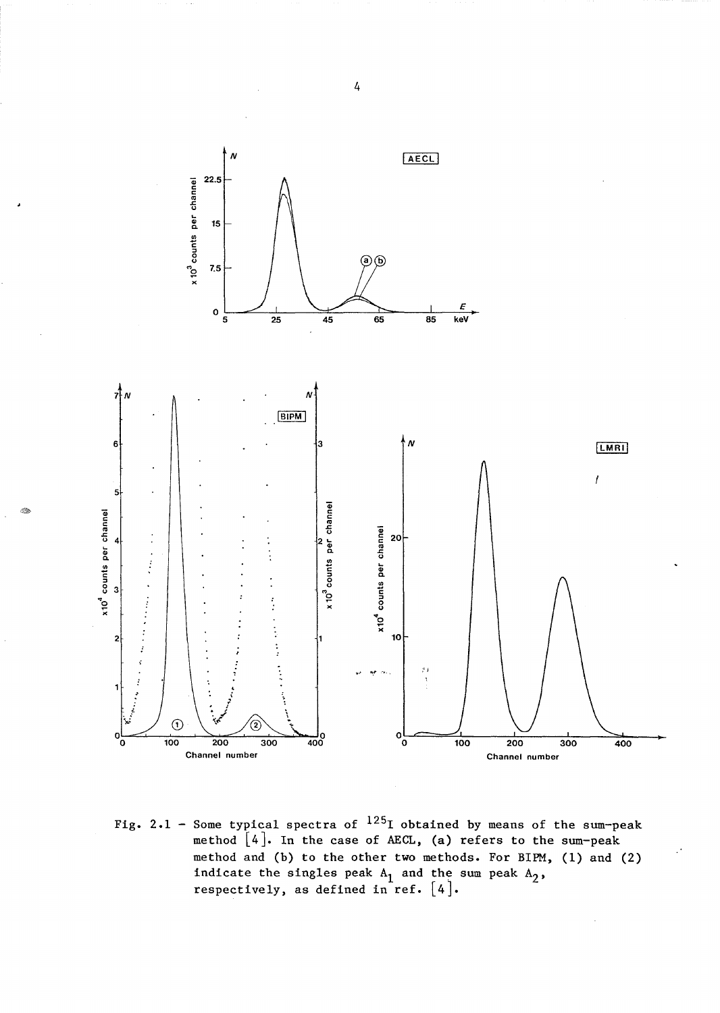

Fig. 2.1 - Some typical spectra of  $125$ I obtained by means of the sum-peak method [4]. In the case of AECL, (a) refers to the sum-peak method and (b) to the other two methods. For BIPM, (1) and (2) indicate the singles peak  $A_1$  and the sum peak  $A_2$ , respectively, as defined in ref.  $[4]$ .

4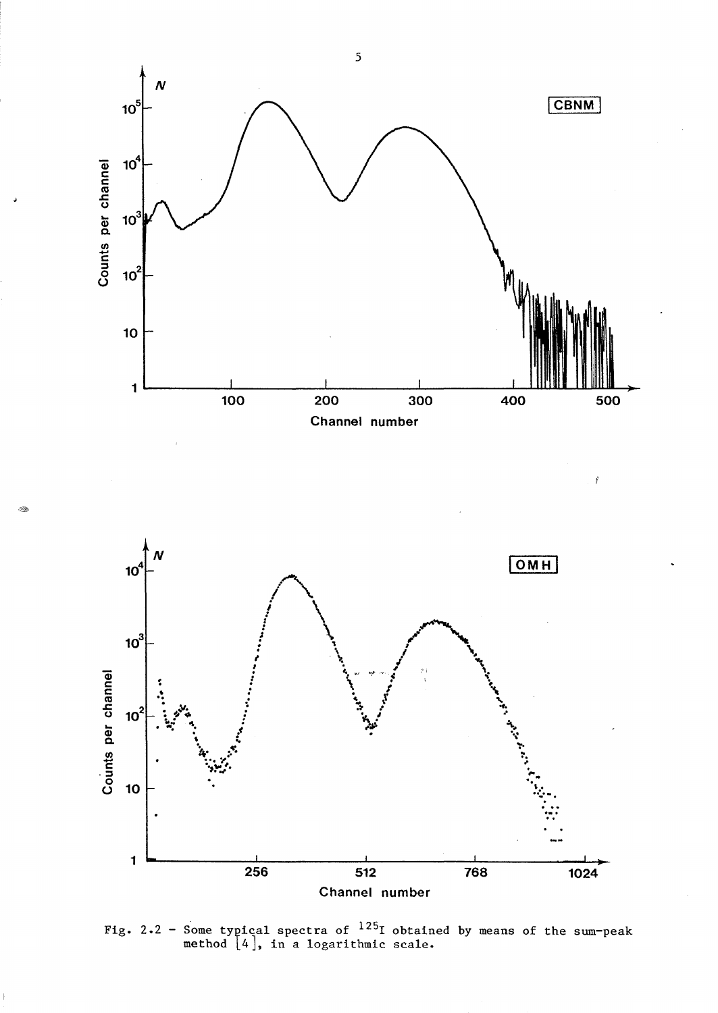





Fig. 2.2 - Some typical spectra of  $^{125}$ I obtained by means of the sum-peak method L4], in a logarithmic scale.

5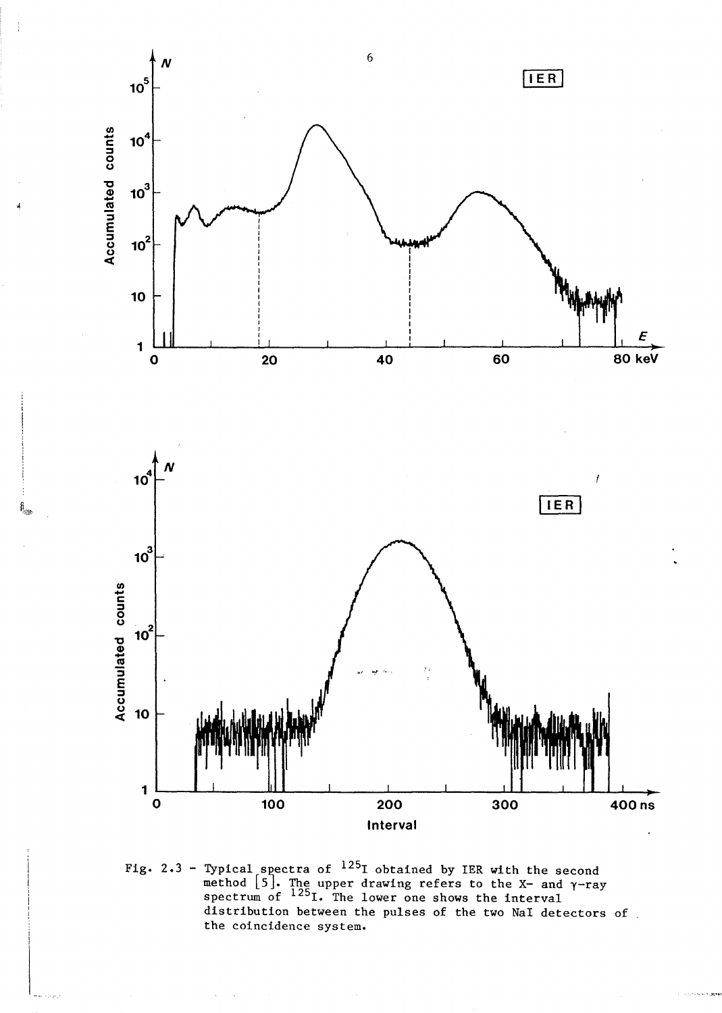

ş,

Fig. 2.3 - Typical spectra of <sup>125</sup>I obtained by IER with the second<br>method [5]. The upper drawing refers to the X- and  $\gamma$ -ray<br>spectrum of <sup>125</sup>I. The lower one shows the interval distribution between the pulses of the two NaI detectors of the coincidence system.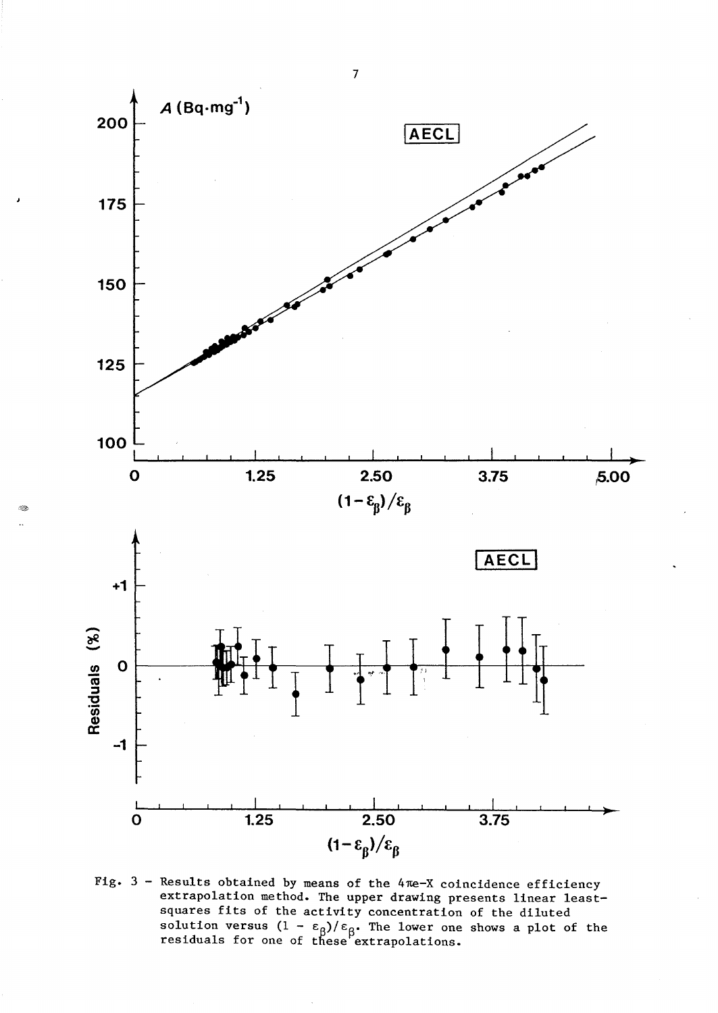

Fig.  $3$  - Results obtained by means of the  $4\pi e$ -X coincidence efficiency extrapolation method. The upper drawing presents linear leastsquares fits of the activity concentration of the diluted<br>solution versus  $(1 - \epsilon_{\beta})/\epsilon_{\beta}$ . The lower one shows a plot of the<br>residuals for one of these extrapolations.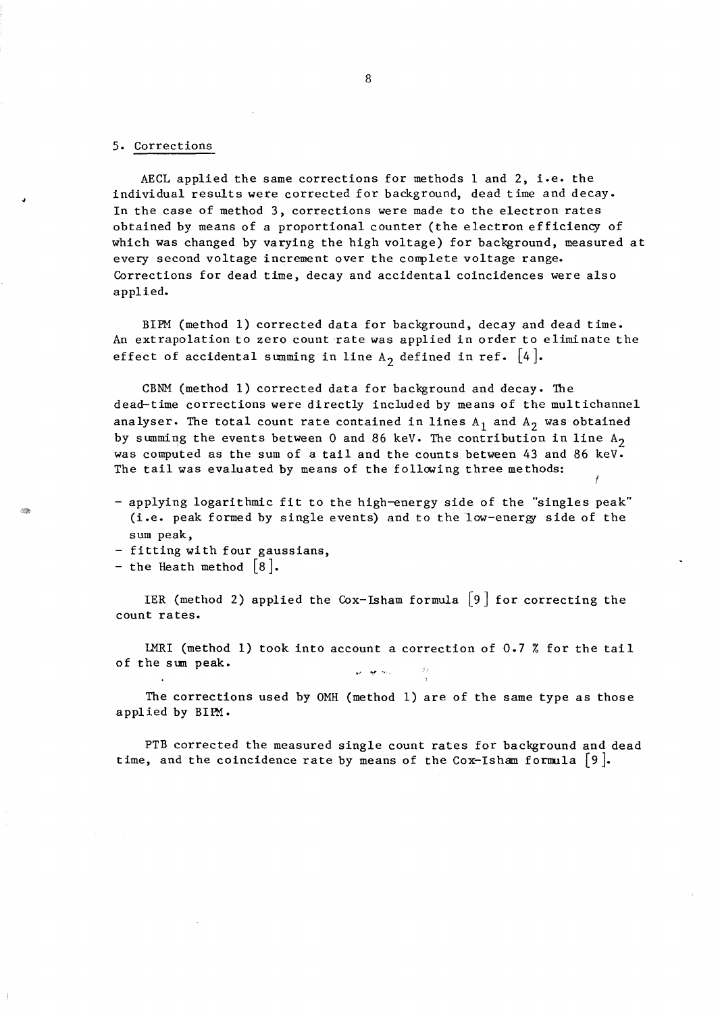## 5. Corrections

AECL applied the same corrections for methods 1 and 2, i.e. the individual results were corrected for background, dead time and decay. In the case of method 3, corrections were made to the electron rates obtained by means of a proportional counter (the electron efficiency of which was changed by varying the high voltage) for background, measured at every second voltage increment over the complete voltage range. Corrections for dead time, decay and accidental coincidences were also applied.

BIPM (method 1) corrected data for background, decay and dead time. An extrapolation to zero count rate was applied in order to eliminate the effect of accidental summing in line  $A_2$  defined in ref. [4].

CBNM (method 1) corrected data for background and decay. The dead-time corrections were directly included by means of the multichannel analyser. The total count rate contained in lines  $A_1$  and  $A_2$  was obtained by summing the events between 0 and 86 keV. The contribution in line  $A_2$ was computed as the sum of a tail and the counts between 43 and 86 keV. The tail was evaluated by means of the following three methods:

- applying logarithmic fit to the high-energy side of the "singles peak" (i.e. peak formed by single events) and to the low-energy side of the sum peak,
- fitting with four gaussians,
- the Heath method  $\lceil 8 \rceil$ .

IER (method 2) applied the Cox-Isham formula  $\lceil 9 \rceil$  for correcting the count rates.

LMRI (method 1) took into account a correction of 0.7 % for the tail of the sun peak.

The corrections used by OMH (method 1) are of the same type as those applied by BIR1.

PTB corrected the measured single count rates for background and dead time, and the coincidence rate by means of the Cox-Isham formula  $[9]$ .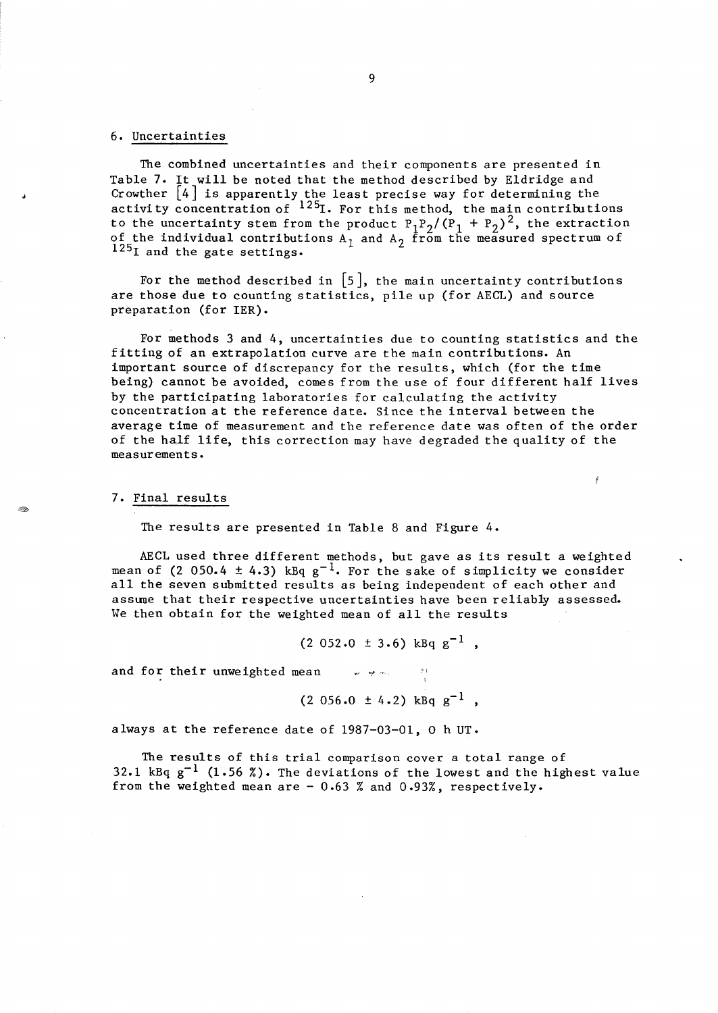## 6. Uncertainties

The combined uncertainties and their components are presented in Table 7. It will be noted that the method described by Eldridge and Crowther [4] is apparently the least precise way for determining the activity concentration of  $^{125}$ . For this method, the main contributions to the uncertainty stem from the product  $P_1P_2/(P_1 + P_2)^2$ , the extraction of the individual contributions  $A_1$  and  $A_2$  from the measured spectrum of 125<sub>I</sub> and the gate settings.

For the method described in  $\lceil 5 \rceil$ , the main uncertainty contributions are those due to counting statistics, pile up (for AECL) and source preparation (for 1ER).

For methods 3 and 4, uncertainties due to counting statistics and the fitting of an extrapolation curve are the main contributions. An important source of discrepancy for the results, which (for the time being) cannot be avoided, comes from the use of four different half lives by the participating laboratories for calculating the activity concentration at the reference date. Since the interval between the average time of measurement and the reference date was often of the order of the half life, this correction may have degraded the quality of the measurements.

### 7. Final results

The results are presented in Table 8 and Figure 4.

AECL used three different methods, but gave as its result a weighted mean of (2 050.4  $\pm$  4.3) kBq g<sup>-1</sup>. For the sake of simplicity we consider all the seven submitted results as being independent of each other and assune that their respective uncertainties have been reliably assessed. We then obtain for the weighted mean of all the results

 $(2 052.0 \pm 3.6) \text{ kBq g}^{-1}$ ,

and for their unweighted mean  $\mathbb{R}^n$  where  $\mathbb{R}^n$ 

 $(2\ 056.0 \pm 4.2)$  kBq  $g^{-1}$ ,

always at the reference date of 1987-03-01, 0 h UT.

The results of this trial comparison cover a total range of 32.1 kBq  $g^{-1}$  (1.56 %). The deviations of the lowest and the highest value from the weighted mean are  $-0.63$  % and  $0.93%$ , respectively.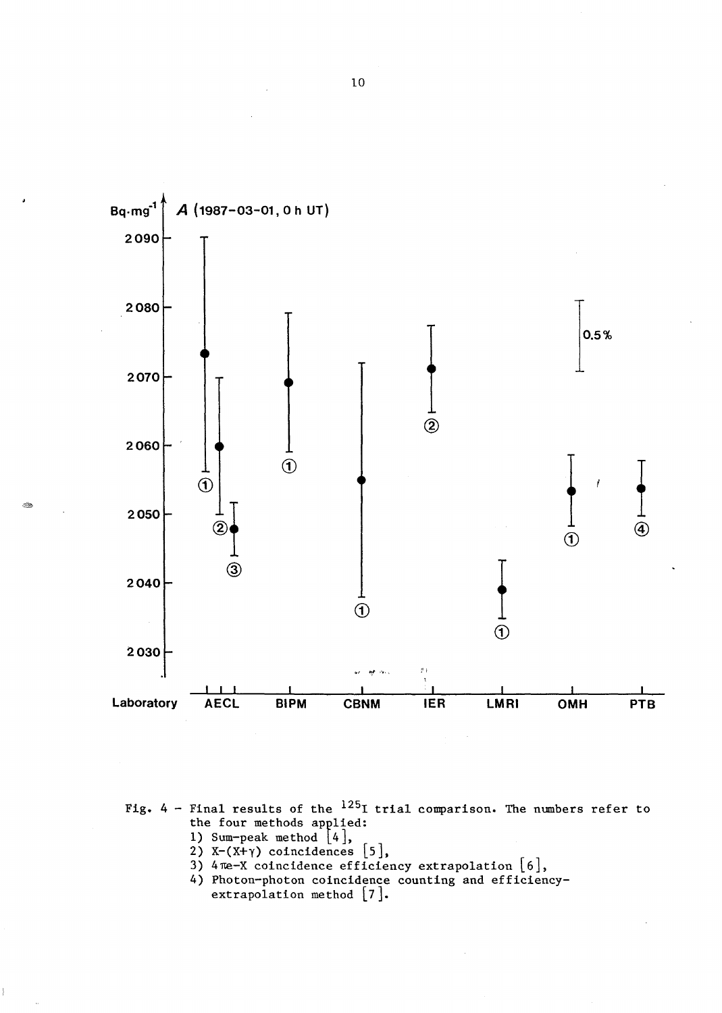

Fig.  $4$  - Final results of the  $^{125}I$  trial comparison. The numbers refer to the four methods applied:

1) Sum-peak method  $[4]$ ,

E.

- 
- 2)  $X-(X+Y)$  coincidences [5],<br>3)  $4\pi e-X$  coincidence efficiency extrapolation [6],
- 4) Photon-photon coincidence counting and efficiencyextrapolation method  $[7]$ .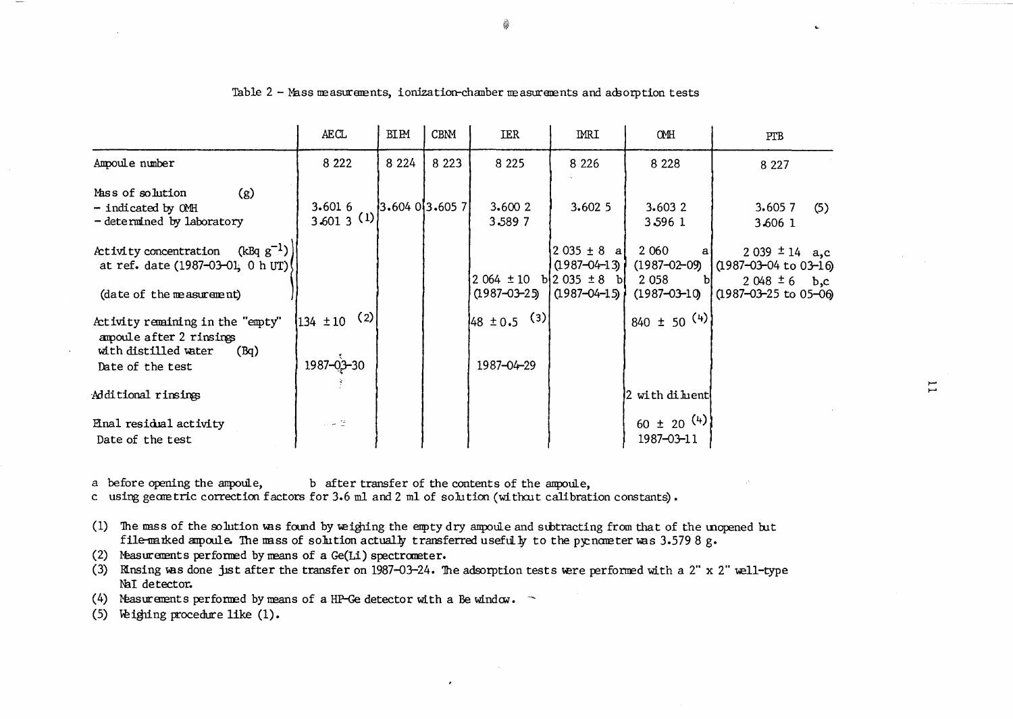|                                                                                               | <b>AECL</b>            | BIPM                  | <b>CBNM</b> | IER                                   | <b>MRI</b>                                                                  | <b>CMH</b>                               | PTB                                                                      |
|-----------------------------------------------------------------------------------------------|------------------------|-----------------------|-------------|---------------------------------------|-----------------------------------------------------------------------------|------------------------------------------|--------------------------------------------------------------------------|
| Ampoule number                                                                                | 8 2 2 2                | 8 2 2 4               | 8 2 2 3     | 8 2 2 5                               | 8 2 2 6                                                                     | 8 2 2 8                                  | 8 2 2 7                                                                  |
| (g)<br>Mass of solution<br>- indicated by OMH<br>- determined by laboratory                   | 3.6016<br>$3,6013$ (1) | $ 3.604\;0 3.605\;7 $ |             | 3.6002<br>3.5897                      | 3.6025                                                                      | 3.6032<br>3 596 1                        | 3.6057<br>(5)<br>3.606 1                                                 |
| $(kBq g^{-1})$<br>Activity concentration<br>at ref. date (1987-03-01, 0 h UT)                 |                        |                       |             | $2.064 \pm 10$ b $2.035 \pm 8$ b      | $\begin{bmatrix} 2 & 0 & 3 & 5 & \pm & 8 & a \end{bmatrix}$<br>10987-04-13) | 2 0 6 0<br>$(1987 - 02 - 09)$<br>2 0 5 8 | $2039 \pm 14$ a,c<br>$(1987 - 03 - 04)$ to $03 - 16$<br>$2048 \pm 6$ b,c |
| (date of the measurement)                                                                     |                        |                       |             | $(1987 - 03 - 25)$ $(1987 - 04 - 15)$ |                                                                             | $(1987 - 03 - 10)$                       | $(1987 - 03 - 25)$ to 05-06                                              |
| Activity remaining in the "empty"<br>ampoule after 2 rinsings<br>with distilled water<br>(Bq) | (2)<br>$134 \pm 10$    |                       |             | (3)<br>$48 \pm 0.5$                   |                                                                             | $840 \pm 50$ (4)                         |                                                                          |
| Date of the test                                                                              | $1987 - 03 - 30$       |                       |             | 1987-04-29                            |                                                                             |                                          |                                                                          |
| Additional rinsings                                                                           |                        |                       |             |                                       |                                                                             | 2 with di hent                           |                                                                          |
| Enal residual activity<br>Date of the test                                                    | u la 12                |                       |             |                                       |                                                                             | 60 ± 20 $(4)$<br>1987-03-11              |                                                                          |

Table 2 - Mass measurements, ionization-chamber measurements and adsorption tests

b after transfer of the contents of the ampoule, a before opening the ampoule,

c using geometric correction factors for 3.6 ml and 2 ml of solution (without calibration constants).

(1) The mass of the solution was found by weighing the empty dry ampoule and subtracting from that of the unopened but file-marked amoule. The mass of solution actually transferred usefully to the pycnometer was 3.5798 g.

(2) Measurements performed by means of a Ge(Li) spectrometer.

(3) Minsing was done just after the transfer on 1987-03-24. The adsorption tests were performed with a 2" x 2" well-type NaI detector.

(4) Measurements performed by means of a HP-Ge detector with a Be window.  $\sim$ 

(5) Weighing procedure like (1).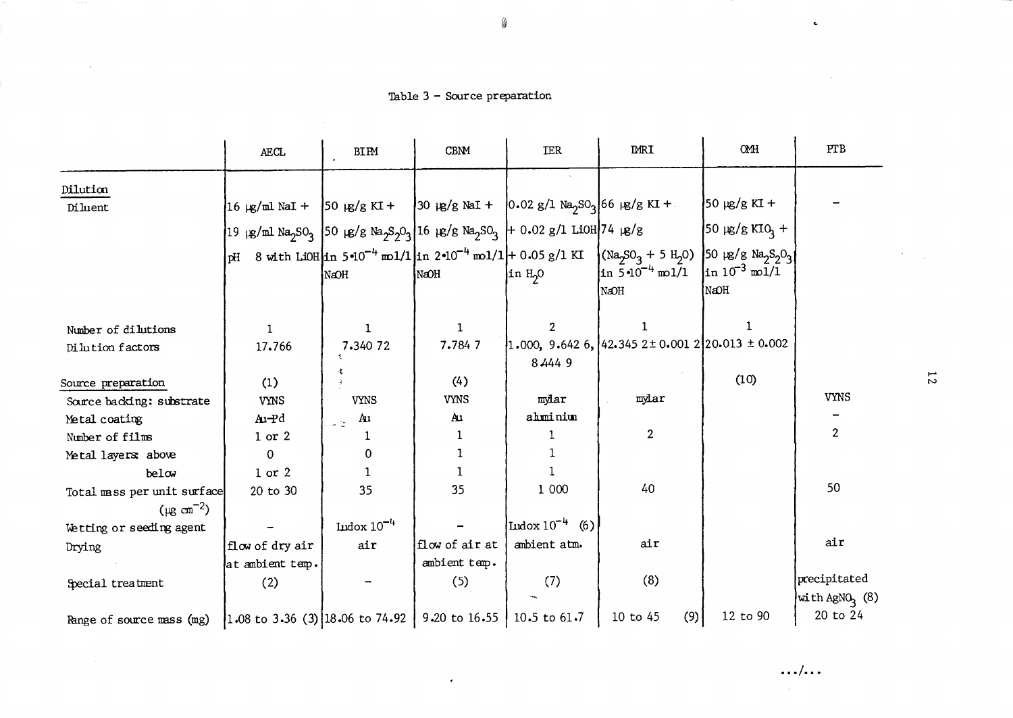Table 3 - Source preparation

 $\sim$ 

|                                                                                           | <b>AECL</b>                                                                                                                                                            | <b>BIPM</b>                   | <b>CBNM</b>    | <b>IER</b>                     | <b>IMRI</b>                                                                                                                                                                                                                                 | OMH                          | PTB                                        |
|-------------------------------------------------------------------------------------------|------------------------------------------------------------------------------------------------------------------------------------------------------------------------|-------------------------------|----------------|--------------------------------|---------------------------------------------------------------------------------------------------------------------------------------------------------------------------------------------------------------------------------------------|------------------------------|--------------------------------------------|
| Dilution                                                                                  |                                                                                                                                                                        |                               |                |                                |                                                                                                                                                                                                                                             |                              |                                            |
| Diluent                                                                                   | $\left 16 \mu g/\text{m1 NaI} + \right 50 \mu g/g KI + \left 30 \mu g/g NaI + \left 0.02 g/I Na_2 S0_3\right 66 \mu g/g KI + \right $                                  |                               |                |                                |                                                                                                                                                                                                                                             | $50 \mu g/g K I +$           |                                            |
|                                                                                           | 19 µg/ml Na <sub>2</sub> SO <sub>3</sub>   50 µg/g Na <sub>2</sub> S <sub>2</sub> O <sub>3</sub>   16 µg/g Na <sub>2</sub> SO <sub>3</sub>   + 0.02 g/l LiOH   74 µg/g |                               |                |                                |                                                                                                                                                                                                                                             | $50 \mu g/g K I Q_1 +$       |                                            |
|                                                                                           |                                                                                                                                                                        | NaOH                          | NaOH           | in H <sub>2</sub> 0            | pH 8 with LiOH in 5.10 <sup>-4</sup> mol/1 in 2.10 <sup>-4</sup> mol/1 + 0.05 g/1 KI (Na <sub>2</sub> SO <sub>3</sub> + 5 H <sub>2</sub> O) 50 $\lg$ /g Na <sub>2</sub> S <sub>2</sub> O <sub>3</sub><br>in $5 \cdot 10^{-4}$ mol/1<br>NaOH | $\ln 10^{-3}$ mol/1<br> NaOH |                                            |
|                                                                                           |                                                                                                                                                                        |                               |                |                                |                                                                                                                                                                                                                                             |                              |                                            |
| Number of dilutions                                                                       | 1.                                                                                                                                                                     | $\mathbf{1}$                  | $\mathbf{1}$   | $\overline{2}$                 | 1                                                                                                                                                                                                                                           |                              |                                            |
| Dilution factors                                                                          | 17.766                                                                                                                                                                 | 7.340 72                      | 7.7847         |                                | $1.000, 9.6426, 42.3452 \pm 0.001220.013 \pm 0.002$                                                                                                                                                                                         |                              |                                            |
|                                                                                           |                                                                                                                                                                        |                               |                | 8 4 4 4 9                      |                                                                                                                                                                                                                                             |                              |                                            |
| Source preparation                                                                        | (1)                                                                                                                                                                    |                               | (4)            |                                |                                                                                                                                                                                                                                             | (10)                         |                                            |
| Source backing: substrate                                                                 | <b>VYNS</b>                                                                                                                                                            | <b>VYNS</b>                   | <b>VYNS</b>    | mylar                          | mylar                                                                                                                                                                                                                                       |                              | <b>VYNS</b>                                |
| Metal coating                                                                             | A1-Pd                                                                                                                                                                  | Au<br>$\omega^{-\frac{1}{2}}$ | Au             | ahminim                        |                                                                                                                                                                                                                                             |                              |                                            |
| Number of films                                                                           | $1$ or $2$                                                                                                                                                             |                               |                |                                | $\overline{2}$                                                                                                                                                                                                                              |                              | $\mathbf{2}$                               |
| Metal layers above                                                                        | 0                                                                                                                                                                      | 0                             |                |                                |                                                                                                                                                                                                                                             |                              |                                            |
| belw                                                                                      | $1$ or $2$                                                                                                                                                             |                               |                |                                |                                                                                                                                                                                                                                             |                              |                                            |
| Total mass per unit surface                                                               | 20 to 30                                                                                                                                                               | 35                            | 35             | 1 000                          | 40                                                                                                                                                                                                                                          |                              | 50                                         |
| $(\mu g \text{ cm}^{-2})$                                                                 |                                                                                                                                                                        |                               |                |                                |                                                                                                                                                                                                                                             |                              |                                            |
| Wetting or seeding agent                                                                  |                                                                                                                                                                        | Indox $10^{-4}$               |                | $\mu$ dox 10 <sup>-4</sup> (6) |                                                                                                                                                                                                                                             |                              |                                            |
| Drying                                                                                    | flow of dry air                                                                                                                                                        | air                           | flow of air at | ambient atm.                   | air                                                                                                                                                                                                                                         |                              | air                                        |
|                                                                                           | at ambient temp.                                                                                                                                                       |                               | ambient temp.  |                                |                                                                                                                                                                                                                                             |                              |                                            |
| Special treatment                                                                         | (2)                                                                                                                                                                    |                               | (5)            | (7)                            | (8)                                                                                                                                                                                                                                         |                              | precipitated<br>with AgNO <sub>2</sub> (8) |
| Range of source mass (mg)  1.08 to 3.36 (3) 18.06 to 74.92   9.20 to 16.55   10.5 to 61.7 |                                                                                                                                                                        |                               |                |                                | 10 to 45<br>(9)                                                                                                                                                                                                                             | 12 to 90                     | 20 to 24                                   |

 $\mathcal{A}^{\mathrm{c}}$  and  $\mathcal{A}^{\mathrm{c}}$ 

 $\overline{z}$ 

 $\sim$  $\mathcal{L}_{\mathcal{A}}$  .

 $\ldots/\ldots$ 

 $\sim$ 

 $\mathbf{c}$ 

 $\sim 10^{11}$  km  $^{-1}$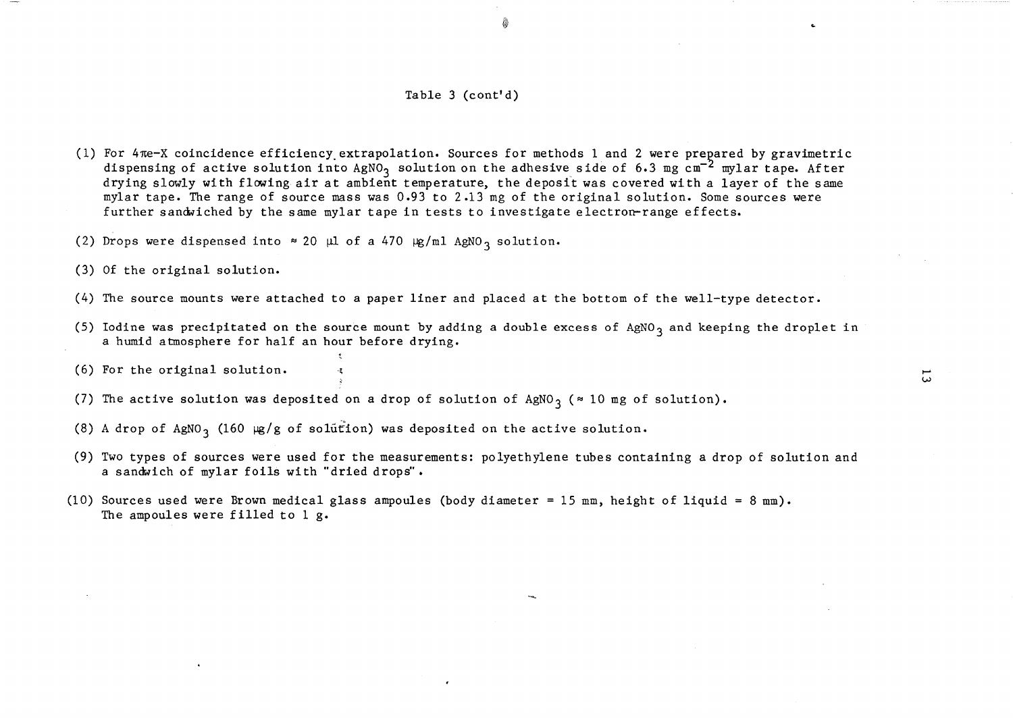#### Table 3 (cont'd)

@

- (1) For  $4\pi$ e-X coincidence efficiency extrapolation. Sources for methods 1 and 2 were prepared by gravimetric dispensing of active solution into  $AgNO<sub>3</sub>$  solution on the adhesive side of 6.3 mg cm<sup>-2</sup> mylar tape. After drying slowly with flowing air at ambient temperature, the deposit was covered with a layer of the same mylar tape. The range of source mass was 0.93 to 2.13 mg of the original solution. Some sources were further sandviched by the same mylar tape in tests to investigate electron-range effects.
- (2) Drops were dispensed into  $\approx 20$  µl of a 470  $\mu$ g/ml AgNO<sub>3</sub> solution.
- (3) Of the original solution.
- (4) The source mounts were attached to a paper liner and placed at the bottom of the well-type detector.
- (5) Iodine was precipitated on the source mount by adding a double excess of AgNO<sub>3</sub> and keeping the droplet in a humid atmosphere for half an hour before drying.
- $(6)$  For the original solution.
- (7) The active solution was deposited on a drop of solution of AgNO<sub>3</sub> ( $\approx$  10 mg of solution).
- (8) A drop of AgNO<sub>3</sub> (160  $\mu$ g/g of solution) was deposited on the active solution.
- (9) Two types of sources were used for the measurements: polyethylene tubes containing a drop of solution and a sandwich of mylar foils with "dried drops".
- (10) Sources used were Brown medical glass ampoules (body diameter 15 mm, height of liquid = 8 mm). The ampoules were filled to  $1$  g.

 $\overline{\omega}$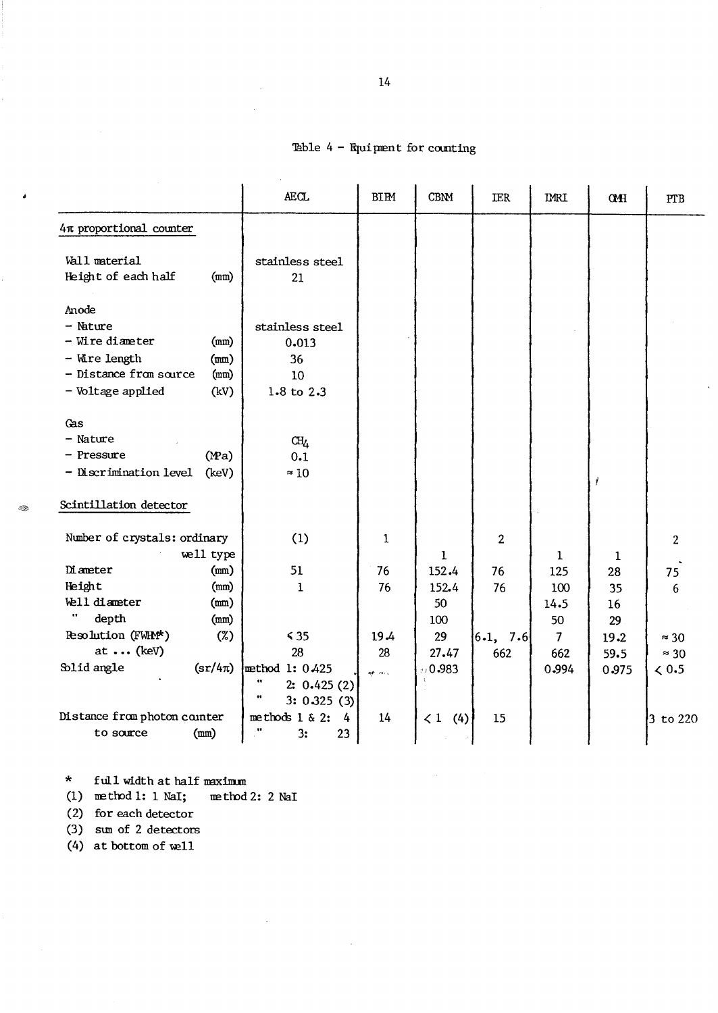# Table  $4$  - Equipment for counting

|                                                |                                       | <b>AECL</b>                                         | <b>BIPM</b> | <b>CBNM</b>        | <b>IER</b>     | <b>IMRI</b>    | <b>CMH</b> | PTB            |
|------------------------------------------------|---------------------------------------|-----------------------------------------------------|-------------|--------------------|----------------|----------------|------------|----------------|
| 4π proportional counter                        |                                       |                                                     |             |                    |                |                |            |                |
| Wall material<br>Height of each half           | (mm)                                  | stainless steel<br>21                               |             |                    |                |                |            |                |
| Anode                                          |                                       |                                                     |             |                    |                |                |            |                |
| $-$ Nature<br>- Wire diameter<br>- Wire length | (mm)<br>(mm)                          | stainless steel<br>0.013<br>36                      |             |                    |                |                |            |                |
| - Distance from source                         | (mm)                                  | 10                                                  |             |                    |                |                |            |                |
| - Voltage applied                              | (kV)                                  | 1.8 to 2.3                                          |             |                    |                |                |            |                |
| Gas                                            |                                       |                                                     |             |                    |                |                |            |                |
| $-$ Nature                                     |                                       | CH <sub>4</sub>                                     |             |                    |                |                |            |                |
| - Pressure                                     | (Ma)                                  | 0.1                                                 |             |                    |                |                |            |                |
| - Discrimination level                         | (keV)                                 | $\approx 10$                                        |             |                    |                |                | İ          |                |
| Scintillation detector                         |                                       |                                                     |             |                    |                |                |            |                |
| Number of crystals: ordinary                   | well type                             | (1)                                                 | 1           | 1                  | $\overline{2}$ | 1              | 1          | $\overline{2}$ |
| <b>Diameter</b>                                | (mn)                                  | 51                                                  | 76          | 152.4              | 76             | 125            | 28         | 75             |
| Height                                         | (mm)                                  | 1                                                   | 76          | 152.4              | 76             | 100            | 35         | 6              |
| Well diameter                                  | (mm)                                  |                                                     |             | 50                 |                | 14.5           | 16         |                |
| depth                                          | (mm)                                  |                                                     |             | 100                |                | 50             | 29         |                |
| Resolution (FWHM*)                             | $(\%)$                                | $\leq 35$                                           | 19.4        | 29                 | 6.1, 7.6       | $\overline{7}$ | 19.2       | $\approx$ 30   |
| at  (keV)                                      |                                       | 28                                                  | 28          | 27.47              | 662            | 662            | 59.5       | $\approx$ 30   |
| Solid angle                                    | $\left(\frac{\text{sr}}{4\pi}\right)$ | method 1: 0.425<br>11<br>2: 0.425(2)<br>3: 0.325(3) | op aus      | 10.983             |                | 0.994          | 0.975      | < 0.5          |
| Distance from photon counter<br>to source      | (mm)                                  | methods $1 \& 2$ :<br>4<br>3:<br>23                 | 14          | $\langle 1$<br>(4) | 15             |                |            | $3$ to 220     |

\* full width at half maximum

(1) method 1: 1 NaI; method 2: 2 NaI

i.

 $\sim 10^7$ 

(2) for each detector

- City

(3) sum of 2 detectors

 $(4)$  at bottom of well

 $\bar{\mathcal{A}}$ 

 $\mathcal{A}^{\mathcal{A}}$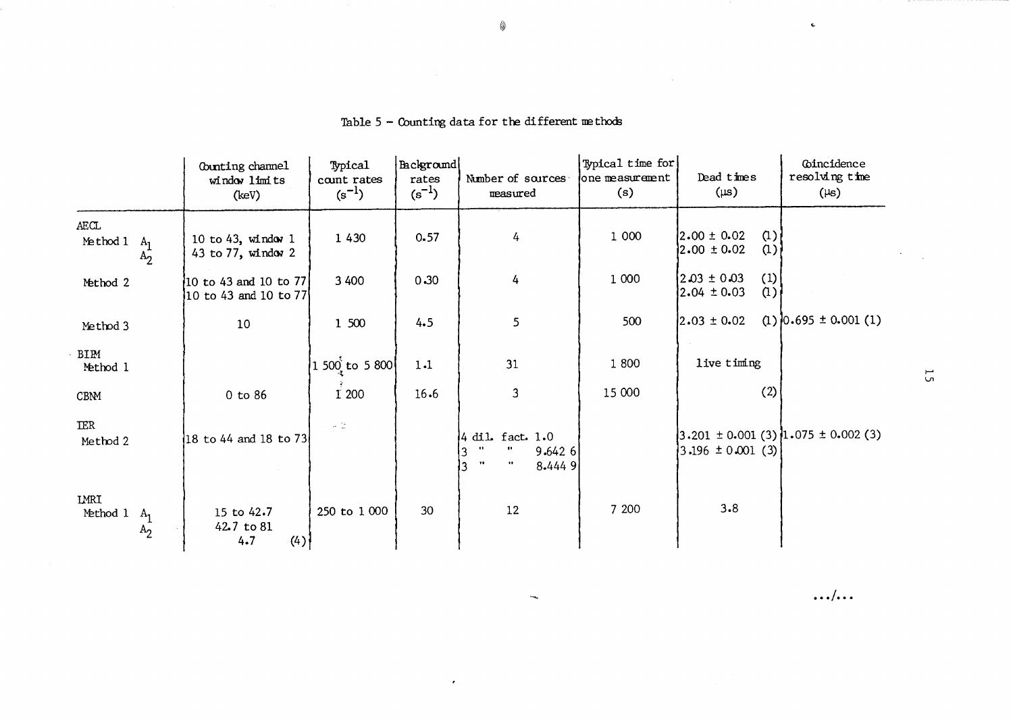|                                             | Counting channel<br>window limits<br>(keV)       | Typical<br>count rates<br>$(s^{-1})$ | Background<br>rates<br>$(s^{-1})$ | Number of sources<br>measured                                                                                                      | Typical time for<br>one measurement<br>(s) | Dead times<br>$(\mu s)$                                                                        | Coincidence<br>resolving time<br>$(\mu s)$ |
|---------------------------------------------|--------------------------------------------------|--------------------------------------|-----------------------------------|------------------------------------------------------------------------------------------------------------------------------------|--------------------------------------------|------------------------------------------------------------------------------------------------|--------------------------------------------|
| AECL<br>Method 1<br>A <sub>1</sub><br>$A_2$ | 10 to 43, window 1<br>43 to 77, window 2         | 1 4 3 0                              | 0.57                              | 4                                                                                                                                  | 1 000                                      | $\alpha$ )<br>$2.00 \pm 0.02$<br>$2.00 \pm 0.02$<br>$\alpha$ )                                 |                                            |
| Method 2                                    | $10$ to 43 and 10 to 77<br>10 to 43 and 10 to 77 | 3 4 0 0                              | 0.30                              | 4                                                                                                                                  | 1 0 0 0                                    | (1)<br>$2.03 \pm 0.03$<br>$2.04 \pm 0.03$<br>$\alpha$ )                                        |                                            |
| Method 3                                    | 10                                               | 1 500                                | 4.5                               | 5                                                                                                                                  | 500                                        | $2.03 \pm 0.02$                                                                                | $(1)$ 0.695 ± 0.001 (1)                    |
| BIPM<br>Method 1                            |                                                  | 1 500 to 5 800                       | 1.1                               | 31                                                                                                                                 | 1800                                       | live timing                                                                                    |                                            |
| CBNM                                        | 0 to 86                                          | I 200                                | 16.6                              | 3                                                                                                                                  | 15 000                                     | (2)                                                                                            |                                            |
| <b>IER</b><br>Method 2                      | 18 to 44 and 18 to 73                            | $\mathcal{A}=\frac{1}{2\pi}$ .       |                                   | $4$ dil. fact. $1.0$<br>$\bullet$<br>$\pmb{\cdots}$<br>9.6426<br>$\overline{3}$<br>$\mathbf{H}$<br>$\bullet\bullet$<br>3<br>8.4449 |                                            | $\left 3.201 \pm 0.001 \right  (3) \left 1.075 \pm 0.002 \right  (3)$<br>$3.196 \pm 0.001$ (3) |                                            |
| LMRI<br>Method 1<br>$A_1$<br>$A_2$          | 15 to 42.7<br>42.7 to 81<br>4.7<br>(4)           | 250 to 1 000                         | 30                                | 12                                                                                                                                 | 7 200                                      | 3.8                                                                                            |                                            |

 $\epsilon$ 

 $\overline{\phantom{a}}$ 

# Table 5 - Counting data for the different methods

 $\ldots/\ldots$ 

 $\mathbf{c}$ 

 $\mathcal{L}^{\text{max}}_{\text{max}}$ 

 $5\overline{5}$ 

 $\mathcal{L}^{\pm}$  $\mathcal{L}^{\mathcal{L}}$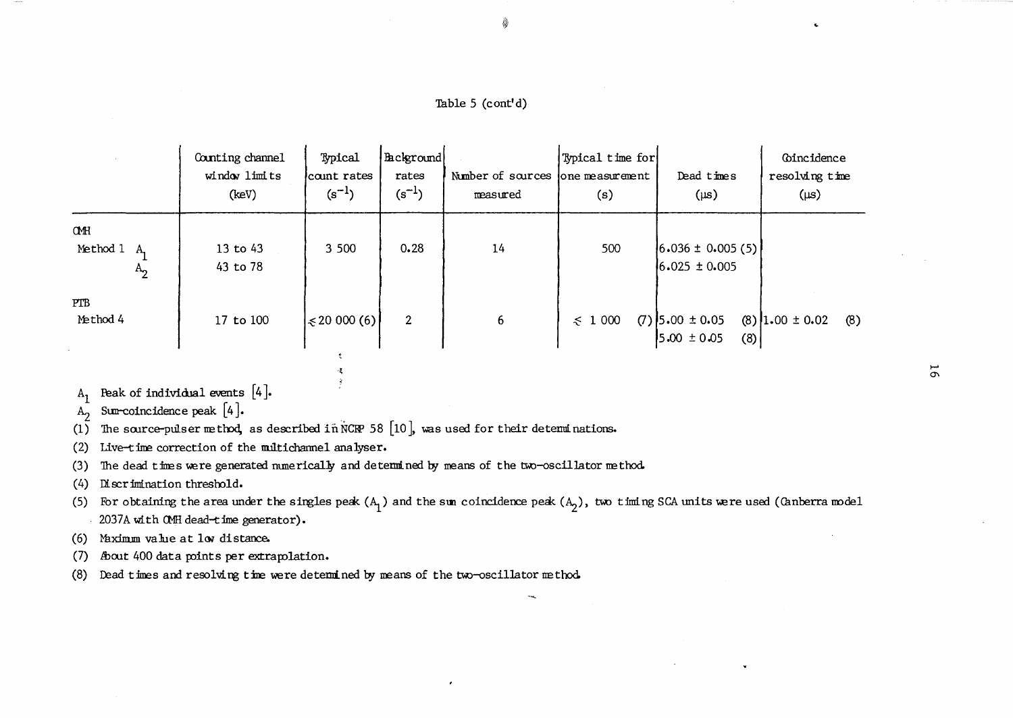Table 5 (cont'd)

È

|                                 | Counting channel<br>window limits<br>(keV) | Typical<br>count rates<br>$(s^{-1})$ | Background<br>rates<br>$(s^{-1})$ | Number of sources lone measurement<br>measured | Typical time for<br>(s) | Dead times<br>$(\mu s)$                     | Coincidence<br>resolving time<br>$(\mu s)$ |
|---------------------------------|--------------------------------------------|--------------------------------------|-----------------------------------|------------------------------------------------|-------------------------|---------------------------------------------|--------------------------------------------|
| CMH<br>Method 1<br>- A<br>$A_2$ | $13$ to $43$<br>43 to 78                   | 3 500                                | 0.28                              | 14                                             | 500                     | $(6.036 \pm 0.005(5))$<br>$6.025 \pm 0.005$ |                                            |
| <b>PTB</b><br>Method 4          | 17 to 100                                  | $\leq 20000(6)$                      | 2                                 | 6                                              | $\leqslant$ 1 000       | $(7)$ 5.00 ± 0.05<br>$5.00 \pm 0.05$<br>(8) | $(8)$ 1.00 ± 0.02<br>(8)                   |

Peak of individual events  $[4]$ .  $A_1$ 

Sum-coincidence peak  $[4]$ .  $A_{2}$ 

The source-pulser method, as described in NCRP 58 [10], was used for their determinations.  $(1)$ 

 $\tilde{\zeta}$ 

Æ.  $\frac{3}{2}$ 

Live-time correction of the multichannel analyser.  $(2)$ 

The dead times were generated numerically and determined by means of the two-oscillator method.  $(3)$ 

Discrimination threshold.  $(4)$ 

(5) For obtaining the area under the singles peak  $(A_1)$  and the sum coincidence peak  $(A_2)$ , two timing SCA units were used (Canberra model 2037A with CMH dead-time generator).

Maximum value at low distance.  $(6)$ 

- (7) About 400 data points per extrapolation.
- Dead times and resolving time were determined by means of the two-oscillator method.  $(8)$

 $\overline{9}$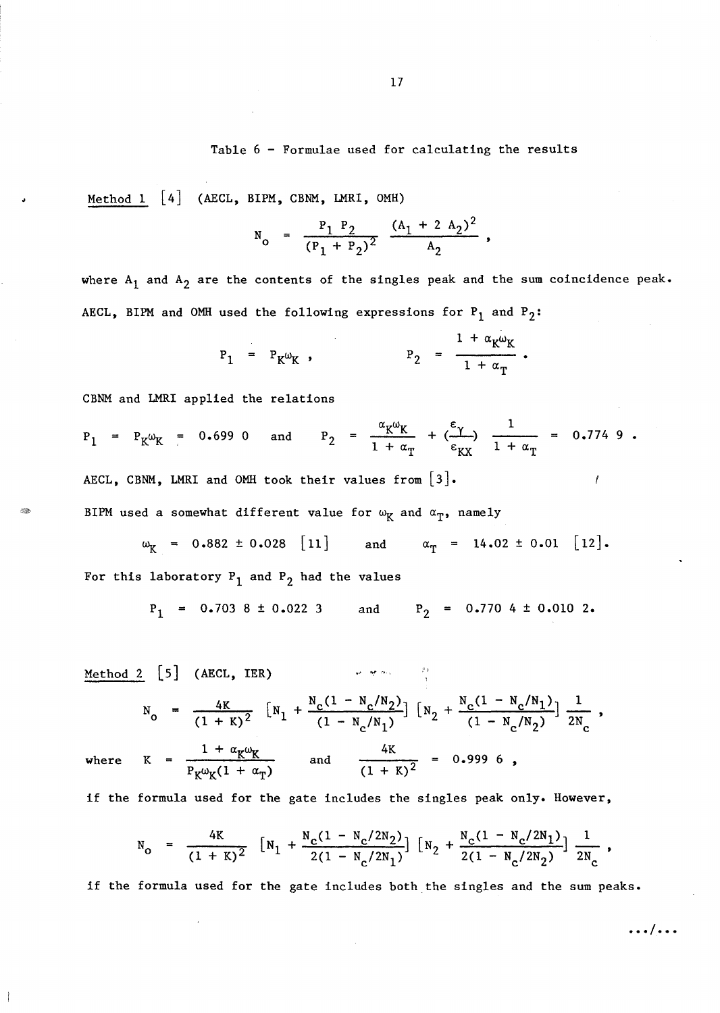## Table 6 - Formulae used for calculating the results

Method 1 [4] (AECL, BIPM, CBNM, LMRI, OMH)

$$
N_0 = \frac{P_1 P_2}{(P_1 + P_2)^2} \frac{(A_1 + 2 A_2)^2}{A_2},
$$

where  $A_1$  and  $A_2$  are the contents of the singles peak and the sum coincidence peak. AECL, BIPM and OMH used the following expressions for  $P_1$  and  $P_2$ :

$$
P_1 = P_K \omega_K , \qquad P_2 = \frac{1 + \alpha_K \omega_K}{1 + \alpha_T} .
$$

CBNM and LMRI applied the relations

$$
P_1 = P_K \omega_K = 0.699 \text{ O} \text{ and } P_2 = \frac{\alpha_K \omega_K}{1 + \alpha_T} + (\frac{\epsilon_Y}{\epsilon_{KX}}) \frac{1}{1 + \alpha_T} = 0.774 \text{ g}.
$$
  
AECL, CBNM, LMRI and OMH took their values from [3].

BIPM used a somewhat different value for  $\omega_K$  and  $\alpha_T$ , namely

$$
\omega_{\text{K}} = 0.882 \pm 0.028 \quad [11] \qquad \text{and} \qquad \alpha_{\text{T}} = 14.02 \pm 0.01 \quad [12].
$$
  
For this laboratory P<sub>1</sub> and P<sub>2</sub> had the values

$$
P_1 = 0.703 8 \pm 0.022 3
$$
 and  $P_2 = 0.770 4 \pm 0.010 2$ .

| Method 2 | [5]                                                                                                                                                                   | (AECL, IER)                                        | \n $N_0 = \frac{4K}{(1 + K)^2} \left[ N_1 + \frac{N_c(1 - N_c/N_2)}{(1 - N_c/N_1)} \right] \left[ N_2 + \frac{N_c(1 - N_c/N_1)}{(1 - N_c/N_2)} \right] \frac{1}{2N_c}$ \n |
|----------|-----------------------------------------------------------------------------------------------------------------------------------------------------------------------|----------------------------------------------------|---------------------------------------------------------------------------------------------------------------------------------------------------------------------------|
| where    | \n $K = \frac{1 + \alpha_K \omega_K}{P_K \omega_K (1 + \alpha_T)}$ \n <td>\n        and\n        <math display="block">\frac{4K}{(1 + K)^2} = 0.9996</math>\n</td> \n | \n        and\n $\frac{4K}{(1 + K)^2} = 0.9996$ \n |                                                                                                                                                                           |

if the formula used for the gate includes the singles peak only. However,

$$
N_0 = \frac{4K}{(1 + K)^2} \left[ N_1 + \frac{N_c(1 - N_c/2N_2)}{2(1 - N_c/2N_1)} \right] \left[ N_2 + \frac{N_c(1 - N_c/2N_1)}{2(1 - N_c/2N_2)} \right] \frac{1}{2N_c},
$$

if the formula used for the gate includes both the singles and the sum peaks •

**... / ...**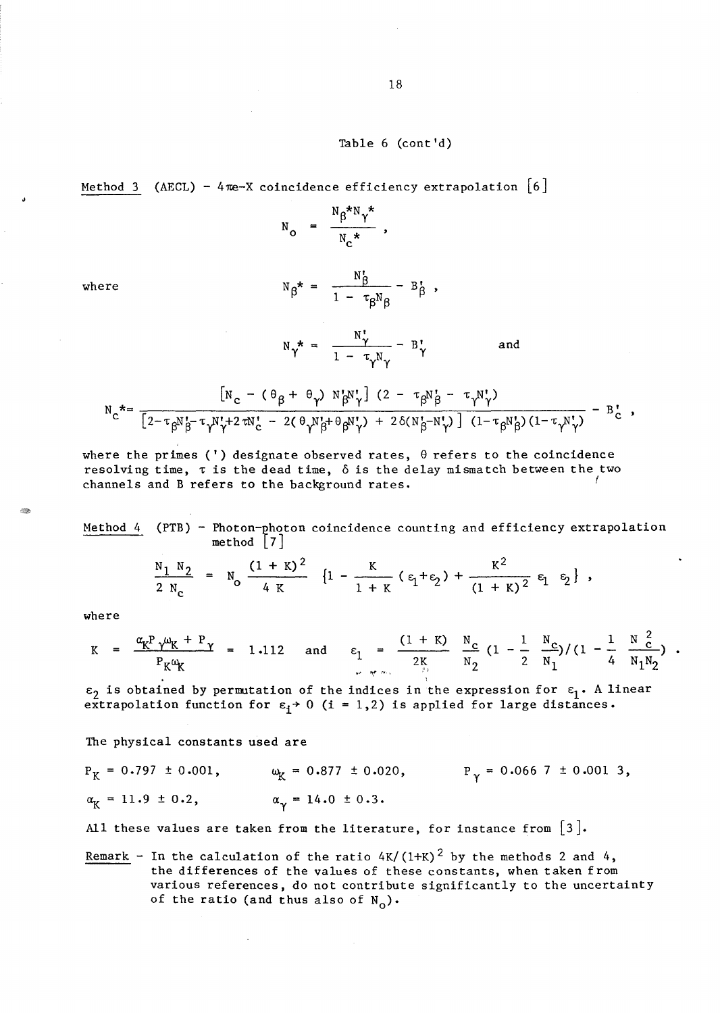## Table 6 (cont'd)

Method 3 (AECL) - 4 $\pi$ e-X coincidence efficiency extrapolation  $\lceil 6 \rceil$ 

$$
N_o = \frac{N_\beta^* N_\gamma^*}{N_c^*},
$$

where

$$
N_{\beta}^* = \frac{N_{\beta}}{1 - \tau_{\beta} N_{\beta}} - B_{\beta}^*,
$$

$$
N_{\gamma}^* = \frac{N_{\gamma}^*}{1 - \tau_{\gamma} N_{\gamma}} - B_{\gamma}^* \qquad \text{and}
$$

$$
N_{C}^* = \frac{\left[N_{C} - (\theta_{\beta} + \theta_{\gamma}) N_{\beta}^N N_{\gamma}^{\dagger}\right](2 - \tau_{\beta} N_{\beta}^{\dagger} - \tau_{\gamma} N_{\gamma}^{\dagger})}{\left[2 - \tau_{\beta} N_{\beta}^{\dagger} - \tau_{\gamma} N_{\gamma}^{\dagger} + 2 \tau N_{C}^{\dagger} - 2(\theta_{\gamma} N_{\beta}^{\dagger} + \theta_{\beta} N_{\gamma}^{\dagger}) + 2 \delta(N_{\beta}^{\dagger} - N_{\gamma}^{\dagger})\right] (1 - \tau_{\beta} N_{\beta}^{\dagger})(1 - \tau_{\gamma} N_{\gamma}^{\dagger})} - B_{C}^{\dagger},
$$

where the primes (') designate observed rates,  $\theta$  refers to the coincidence resolving time,  $\tau$  is the dead time,  $\delta$  is the delay mismatch between the two channels and B refers to the background rates.

Method 4 (PTB) – Photon-photon coincidence counting and efficiency extrapolation method 
$$
[7]
$$

$$
\frac{N_1 N_2}{2 N_c} = N_0 \frac{(1 + K)^2}{4 K} \{1 - \frac{K}{1 + K} (\epsilon_1 + \epsilon_2) + \frac{K^2}{(1 + K)^2} \epsilon_1 \epsilon_2 \},
$$

where

-291

$$
K = \frac{\alpha_{K} P \gamma \omega_{K} + P \gamma}{P_{K} \omega_{K}} = 1.112 \text{ and } \epsilon_{1} = \frac{(1 + K)}{2_{\frac{K}{12}}} \frac{N_{C}}{N_{2}} (1 - \frac{1}{2} \frac{N_{C}}{N_{1}}) / (1 - \frac{1}{4} \frac{N_{C}^{2}}{N_{1}N_{2}}).
$$

 $\epsilon_2$  is obtained by permutation of the indices in the expression for  $\epsilon_1$ . A linear extrapolation function for  $\varepsilon_1$  > 0 (i = 1,2) is applied for large distances.

The physical constants used are

 $\ddot{\phantom{a}}$ 

$$
P_K = 0.797 \pm 0.001
$$
,  $\omega_K = 0.877 \pm 0.020$ ,  $P_\gamma = 0.0667 \pm 0.0013$ ,  
 $\alpha_K = 11.9 \pm 0.2$ ,  $\alpha_\gamma = 14.0 \pm 0.3$ .

All these values are taken from the literature, for instance from  $[3]$ .

Remark - In the calculation of the ratio  $4K/(1+K)^2$  by the methods 2 and 4, the differences of the values of these constants, when taken from various references, do not contribute significantly to the uncertainty of the ratio (and thus also of  $N_0$ ).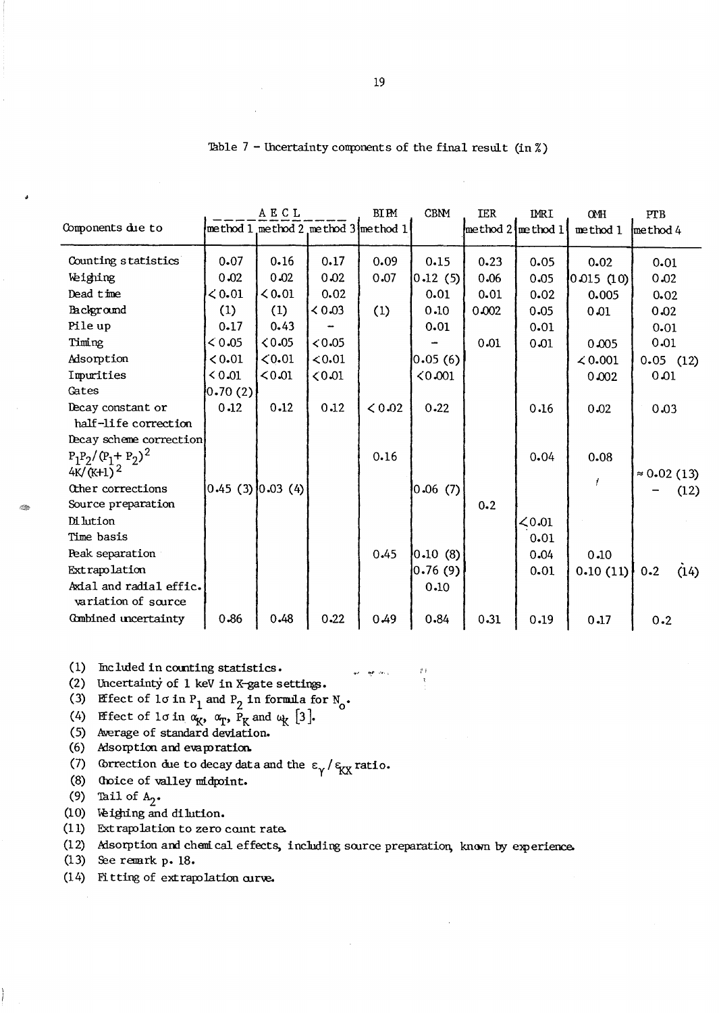|                                                |                           | <b>AECL</b> |        | <b>BIPM</b>                         | <b>CBNM</b> | <b>IER</b>                                | <b>IMRI</b> | OMH          | PTB                |
|------------------------------------------------|---------------------------|-------------|--------|-------------------------------------|-------------|-------------------------------------------|-------------|--------------|--------------------|
| Components due to                              |                           |             |        | method 1 method 2 method 3 method 1 |             | $\lceil \text{method } 2 \rceil$ method 1 |             | method 1     | method 4           |
| Counting statistics                            | 0.07                      | 0.16        | 0.17   | 0.09                                | 0.15        | 0.23                                      | 0.05        | 0.02         | 0.01               |
| Weighing                                       | 0.02                      | 0.02        | 0.02   | 0.07                                | 0.12(5)     | 0.06                                      | 0.05        | 0.015(10)    | 0.02               |
| Dead time                                      | $\leq 0.01$               | 0.01        | 0.02   |                                     | 0.01        | 0.01                                      | 0.02        | 0.005        | 0.02               |
| Background                                     | (1)                       | (1)         | 0.03   | (1)                                 | 0.10        | 0.002                                     | 0.05        | 0.01         | 0.02               |
| Pile up                                        | 0.17                      | 0.43        |        |                                     | 0.01        |                                           | 0.01        |              | 0.01               |
| Timing                                         | < 0.05                    | 0.05        | < 0.05 |                                     |             | 0.01                                      | 0.01        | 0.005        | 0.01               |
| Adsorption                                     | 0.01                      | < 0.01      | < 0.01 |                                     | 0.05(6)     |                                           |             | $\leq 0.001$ | $0.05$ (12)        |
| Imurities                                      | 0.01                      | < 0.01      | 0.01   |                                     | 0.001       |                                           |             | 0.002        | 0.01               |
| Cates                                          | [0.70(2)]                 |             |        |                                     |             |                                           |             |              |                    |
| Decay constant or<br>half-life correction      | 0.12                      | 0.12        | 0.12   | < 0.02                              | 0.22        |                                           | 0.16        | 0.02         | 0.03               |
| Decay scheme correction                        |                           |             |        |                                     |             |                                           |             |              |                    |
| $P_1P_2/(P_1+P_2)^2$<br>$4K/(K+1)^2$           |                           |             |        | 0.16                                |             |                                           | 0.04        | 0.08         | $\approx 0.02(13)$ |
| Other corrections                              | $ 0.45 \ (3)  0.03 \ (4)$ |             |        |                                     | 0.06(7)     |                                           |             |              | (12)               |
| Source preparation                             |                           |             |        |                                     |             | $0 - 2$                                   |             |              |                    |
| Di lution                                      |                           |             |        |                                     |             |                                           | < 0.01      |              |                    |
| Time basis                                     |                           |             |        |                                     |             |                                           | 0.01        |              |                    |
| Peak separation                                |                           |             |        | 0.45                                | 0.10(8)     |                                           | 0.04        | 0.10         |                    |
| Extrapolation                                  |                           |             |        |                                     | 0.76(9)     |                                           | 0.01        | 0.10(11)     | $0 - 2$<br>(14)    |
| Axial and radial effic.<br>variation of source |                           |             |        |                                     | 0.10        |                                           |             |              |                    |
| Combined uncertainty                           | 0.86                      | 0.48        | 0.22   | 0.49                                | 0.84        | 0.31                                      | 0.19        | 0.17         | 0.2                |

**AP** Years

|  |  | lable 7 - Uncertainty components of the final result (in %) |  |  |  |  |  |  |  |
|--|--|-------------------------------------------------------------|--|--|--|--|--|--|--|
|--|--|-------------------------------------------------------------|--|--|--|--|--|--|--|

(1) Included in counting statistics.

(2) Uncertainty of 1 keV in X-gate settings.

(3) Effect of  $1\sigma$  in  $P_1$  and  $P_2$  in formula for  $N_0$ .

(4) Effect of lo in  $\alpha_K$ ,  $\alpha_T$ ,  $\bar{P}_K$  and  $\alpha_K$  [3].

(5) Average of standard deviation.

(6) Alsorption and evaporation.

(7) Correction due to decay data and the  $\epsilon_{\gamma}/\epsilon_{\rm{K}X}$  ratio.

(8) Oboice of valley midpoint.

(9) Tail of  $A_2$ .

S.

(10) Veighing and dilution.

(11) Extrapolation to zero count rate.

(12) Msorption and chemical effects, including source preparation, known by experience.

 $(13)$  See remark p. 18.

(14) Fitting of extrapolation curve.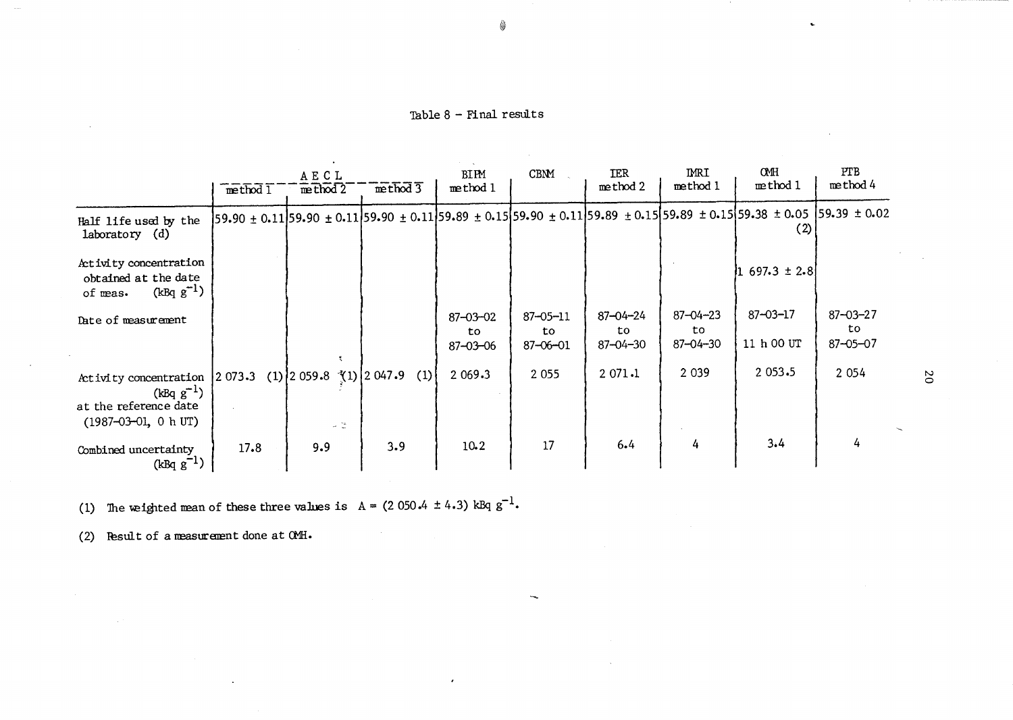Table  $8$  - Final results

|                                                                                                 | method 1 | AECL<br>$m$ thod $2$                     | method 3 | BIPM<br>method 1                       | CBNM                                   | <b>IER</b><br>method 2                  | IMRI<br>method 1                       | <b>CMH</b><br>method 1                                                                                                                                                    | <b>PTB</b><br>method 4                  |
|-------------------------------------------------------------------------------------------------|----------|------------------------------------------|----------|----------------------------------------|----------------------------------------|-----------------------------------------|----------------------------------------|---------------------------------------------------------------------------------------------------------------------------------------------------------------------------|-----------------------------------------|
| Half life used by the<br>laboratory (d)                                                         |          |                                          |          |                                        |                                        |                                         |                                        | $[59.90 \pm 0.11]$ 59.90 $\pm 0.11]$ 59.90 $\pm 0.11]$ 59.89 $\pm 0.15$ $[59.90 \pm 0.11]$ 59.89 $\pm 0.15]$ 59.89 $\pm 0.15]$ 59.38 $\pm 0.05$ $[59.39 \pm 0.02]$<br>(2) |                                         |
| Activity concentration<br>obtained at the date<br>$(kBq g^{-1})$<br>of meas.                    |          |                                          |          |                                        |                                        |                                         |                                        | $697.3 \pm 2.8$                                                                                                                                                           |                                         |
| Date of measurement                                                                             |          |                                          |          | $87 - 03 - 02$<br>to<br>$87 - 03 - 06$ | $87 - 05 - 11$<br>to<br>$87 - 06 - 01$ | $87 - 04 - 24$<br>to.<br>$87 - 04 - 30$ | $87 - 04 - 23$<br>to<br>$87 - 04 - 30$ | $87 - 03 - 17$<br>11 h 00 UT                                                                                                                                              | $87 - 03 - 27$<br>to.<br>$87 - 05 - 07$ |
| Activity concentration<br>$(kBq g^{-1})$<br>at the reference date<br>$(1987 - 03 - 01, 0 h UT)$ | 2 073.3  | $(1)$ 2 059.8 $(1)$ 2 047.9<br>$\sim$ 15 | (1)      | 2 0 69.3                               | 2 0 5 5                                | 2071.1                                  | 2 0 3 9                                | 2 0 5 3 - 5                                                                                                                                                               | 2 0 5 4                                 |
| Combined uncertainty<br>$(kBq g^{-1})$                                                          | 17.8     | 9.9                                      | 3.9      | $10-2$                                 | 17                                     | 6.4                                     | 4                                      | 3.4                                                                                                                                                                       | 4                                       |

 $\bullet$ 

(1) The weighted mean of these three values is  $A = (2050.4 \pm 4.3)$  kBq  $g^{-1}$ .

(2) Result of a measurement done at  $QML$ .

 $20$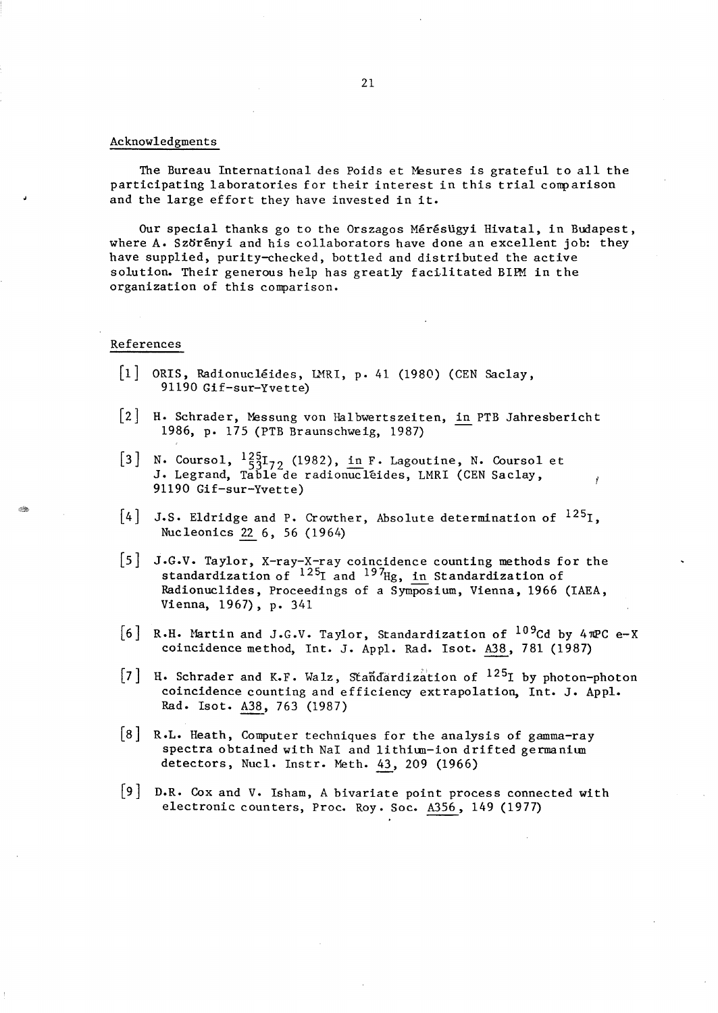#### Acknowledgments

The Bureau International des Poids et Mesures is grateful to all the participating laboratories for their interest in this trial conparison and the large effort they have invested in it.

Our special thanks go to the Orszagos Mérésügyi Hivatal, in Budapest, where  $A \cdot Sz$  or end his collaborators have done an excellent job: they have supplied, purity-checked, bottled and distributed the active solution. Their generous help has greatly facilitated BIPM in the organization of this comparison.

#### References

- $[1]$  ORIS, Radionucléides, LMRI, p. 41 (1980) (CEN Saclay, 91190 Gif-sur-Yvette)
- [2] H. Schrader, Messung von Halbwertszeiten, in PTB Jahresbericht 1986, p. 175 (PTB Braunschweig, 1987)
- [3] N. Coursol,  $\frac{125}{53}I_{72}$  (1982), in F. Lagoutine, N. Coursol et J. Legrand, Table de radionucléides, LMRI (CEN Saclay, 91190 Gif-sur-Yvette)
- $[4]$  J.S. Eldridge and P. Crowther, Absolute determination of  $^{125}I$ , Nucleonics 22 6, 56 (1964)
- $\vert 5 \vert$ J.G.V. Taylor, X-ray-X-ray coincidence counting methods for the standardization of  $^{125}$ I and  $^{197}$ Hg, in Standardization of Radionuclides, Proceedings of a Symposium, Vienna, 1966 (IAEA, Vienna, 1967), p. 341
- [6] R.H. Martin and J.G.V. Taylor, Standardization of  $^{109}$ Cd by 4 $\pi$ PC e-X coincidence method, Int. J. Appl. Rad. Isot. A38, 781 (1987)
- [7] H. Schrader and K.F. Walz, Standardization of  $^{125}I$  by photon-photon coincidence counting and efficiency extrapolation, Int. J. Appl. Rad. Isot. A38, 763 (1987)
- [8 ] R.L. Heath, Computer techniques for the analysis of gamma-ray spectra obtained with NaI and lithium-ion drifted germanium detectors, Nucl. Instr. Meth. 43, 209 (1966)
- D.R. Cox and V. Isham, A bivariate point process connected with electronic counters, Proc. Roy. Soc. A356, 149 (1977)